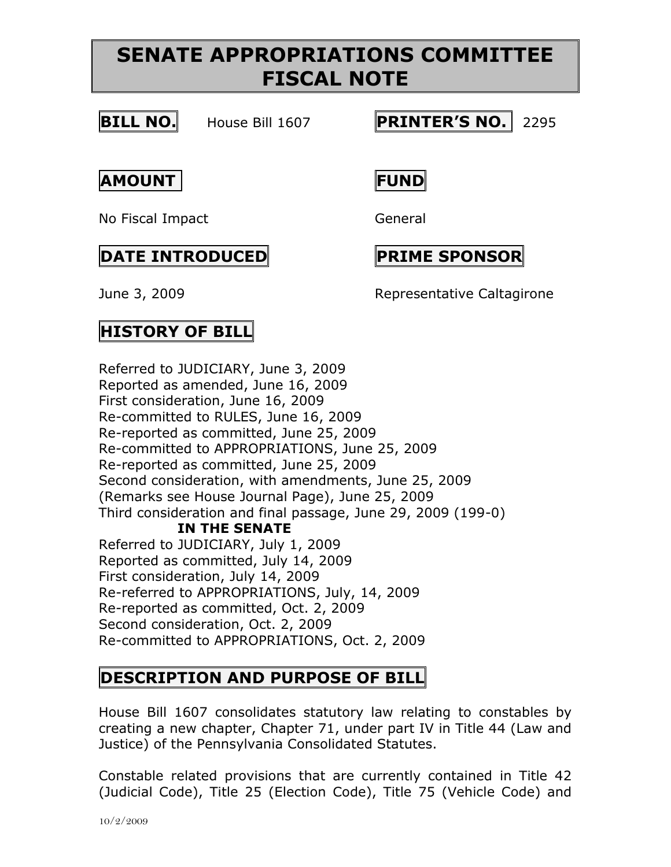# **SENATE APPROPRIATIONS COMMITTEE FISCAL NOTE**



**BILL NO.** House Bill 1607 **PRINTER'S NO.** 2295

**AMOUNT FUND**

No Fiscal Impact General

#### **DATE INTRODUCED PRIME SPONSOR**

June 3, 2009 Representative Caltagirone

## **HISTORY OF BILL**

Referred to JUDICIARY, June 3, 2009 Reported as amended, June 16, 2009 First consideration, June 16, 2009 Re-committed to RULES, June 16, 2009 Re-reported as committed, June 25, 2009 Re-committed to APPROPRIATIONS, June 25, 2009 Re-reported as committed, June 25, 2009 Second consideration, with amendments, June 25, 2009 (Remarks see House Journal Page), June 25, 2009 Third consideration and final passage, June 29, 2009 (199-0) **IN THE SENATE** Referred to JUDICIARY, July 1, 2009 Reported as committed, July 14, 2009 First consideration, July 14, 2009 Re-referred to APPROPRIATIONS, July, 14, 2009 Re-reported as committed, Oct. 2, 2009 Second consideration, Oct. 2, 2009 Re-committed to APPROPRIATIONS, Oct. 2, 2009

## **DESCRIPTION AND PURPOSE OF BILL**

House Bill 1607 consolidates statutory law relating to constables by creating a new chapter, Chapter 71, under part IV in Title 44 (Law and Justice) of the Pennsylvania Consolidated Statutes.

Constable related provisions that are currently contained in Title 42 (Judicial Code), Title 25 (Election Code), Title 75 (Vehicle Code) and